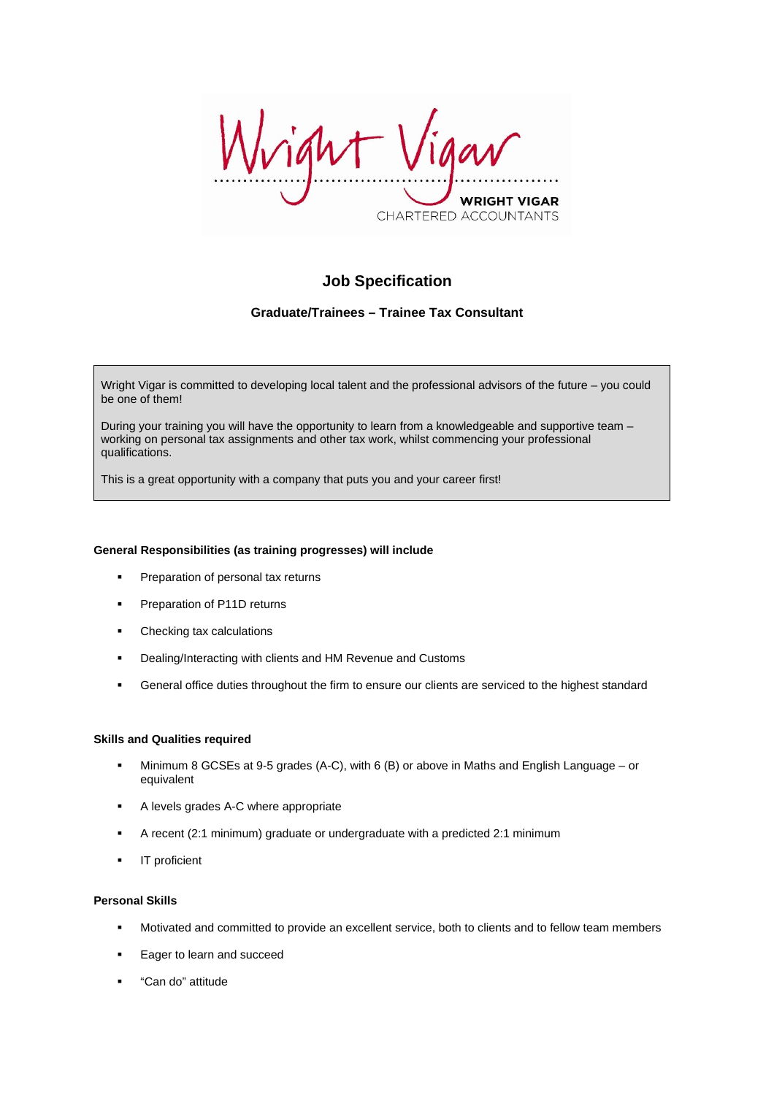ight WRIGHT VIGAR CHARTERED ACCOUNTANTS

# **Job Specification**

## **Graduate/Trainees – Trainee Tax Consultant**

Wright Vigar is committed to developing local talent and the professional advisors of the future – you could be one of them!

During your training you will have the opportunity to learn from a knowledgeable and supportive team – working on personal tax assignments and other tax work, whilst commencing your professional qualifications.

This is a great opportunity with a company that puts you and your career first!

#### **General Responsibilities (as training progresses) will include**

- Preparation of personal tax returns
- **Preparation of P11D returns**
- Checking tax calculations
- **•** Dealing/Interacting with clients and HM Revenue and Customs
- General office duties throughout the firm to ensure our clients are serviced to the highest standard

#### **Skills and Qualities required**

- Minimum 8 GCSEs at 9-5 grades (A-C), with 6 (B) or above in Maths and English Language or equivalent
- A levels grades A-C where appropriate
- A recent (2:1 minimum) graduate or undergraduate with a predicted 2:1 minimum
- **IT** proficient

#### **Personal Skills**

- Motivated and committed to provide an excellent service, both to clients and to fellow team members
- Eager to learn and succeed
- "Can do" attitude